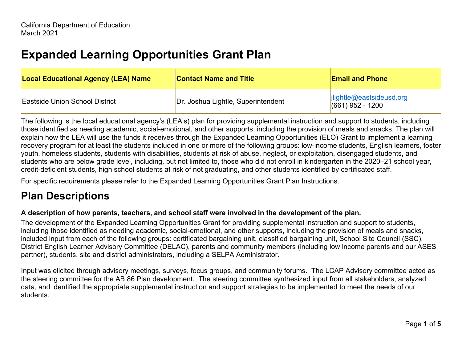# **Expanded Learning Opportunities Grant Plan**

| <b>Local Educational Agency (LEA) Name</b> | <b>Contact Name and Title</b>      | <b>Email and Phone</b>                                  |
|--------------------------------------------|------------------------------------|---------------------------------------------------------|
| <b>Eastside Union School District</b>      | Dr. Joshua Lightle, Superintendent | $\left $ ilightle@eastsideusd.org<br>$(661)$ 952 - 1200 |

The following is the local educational agency's (LEA's) plan for providing supplemental instruction and support to students, including those identified as needing academic, social-emotional, and other supports, including the provision of meals and snacks. The plan will explain how the LEA will use the funds it receives through the Expanded Learning Opportunities (ELO) Grant to implement a learning recovery program for at least the students included in one or more of the following groups: low-income students, English learners, foster youth, homeless students, students with disabilities, students at risk of abuse, neglect, or exploitation, disengaged students, and students who are below grade level, including, but not limited to, those who did not enroll in kindergarten in the 2020–21 school year, credit-deficient students, high school students at risk of not graduating, and other students identified by certificated staff.

For specific requirements please refer to the Expanded Learning Opportunities Grant Plan Instructions.

## **Plan Descriptions**

#### **A description of how parents, teachers, and school staff were involved in the development of the plan.**

The development of the Expanded Learning Opportunities Grant for providing supplemental instruction and support to students, including those identified as needing academic, social-emotional, and other supports, including the provision of meals and snacks, included input from each of the following groups: certificated bargaining unit, classified bargaining unit, School Site Council (SSC), District English Learner Advisory Committee (DELAC), parents and community members (including low income parents and our ASES partner), students, site and district administrators, including a SELPA Administrator.

Input was elicited through advisory meetings, surveys, focus groups, and community forums. The LCAP Advisory committee acted as the steering committee for the AB 86 Plan development. The steering committee synthesized input from all stakeholders, analyzed data, and identified the appropriate supplemental instruction and support strategies to be implemented to meet the needs of our students.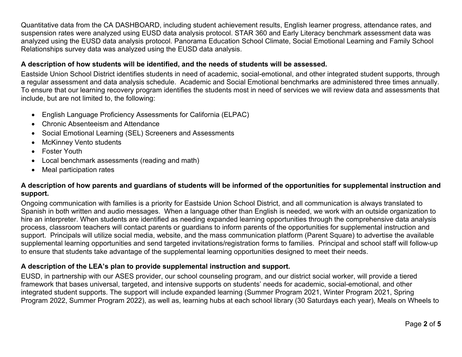Quantitative data from the CA DASHBOARD, including student achievement results, English learner progress, attendance rates, and suspension rates were analyzed using EUSD data analysis protocol. STAR 360 and Early Literacy benchmark assessment data was analyzed using the EUSD data analysis protocol. Panorama Education School Climate, Social Emotional Learning and Family School Relationships survey data was analyzed using the EUSD data analysis.

#### **A description of how students will be identified, and the needs of students will be assessed.**

Eastside Union School District identifies students in need of academic, social-emotional, and other integrated student supports, through a regular assessment and data analysis schedule. Academic and Social Emotional benchmarks are administered three times annually. To ensure that our learning recovery program identifies the students most in need of services we will review data and assessments that include, but are not limited to, the following:

- English Language Proficiency Assessments for California (ELPAC)
- Chronic Absenteeism and Attendance
- Social Emotional Learning (SEL) Screeners and Assessments
- McKinney Vento students
- Foster Youth
- Local benchmark assessments (reading and math)
- Meal participation rates

#### **A description of how parents and guardians of students will be informed of the opportunities for supplemental instruction and support.**

Ongoing communication with families is a priority for Eastside Union School District, and all communication is always translated to Spanish in both written and audio messages. When a language other than English is needed, we work with an outside organization to hire an interpreter. When students are identified as needing expanded learning opportunities through the comprehensive data analysis process, classroom teachers will contact parents or guardians to inform parents of the opportunities for supplemental instruction and support. Principals will utilize social media, website, and the mass communication platform (Parent Square) to advertise the available supplemental learning opportunities and send targeted invitations/registration forms to families. Principal and school staff will follow-up to ensure that students take advantage of the supplemental learning opportunities designed to meet their needs.

#### **A description of the LEA's plan to provide supplemental instruction and support.**

EUSD, in partnership with our ASES provider, our school counseling program, and our district social worker, will provide a tiered framework that bases universal, targeted, and intensive supports on students' needs for academic, social-emotional, and other integrated student supports. The support will include expanded learning (Summer Program 2021, Winter Program 2021, Spring Program 2022, Summer Program 2022), as well as, learning hubs at each school library (30 Saturdays each year), Meals on Wheels to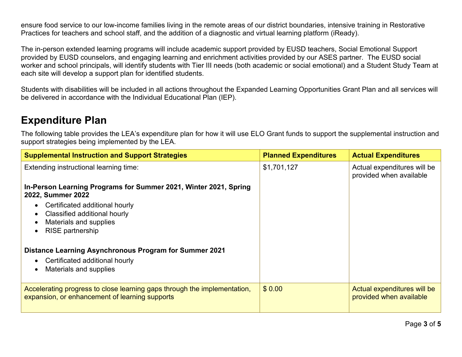ensure food service to our low-income families living in the remote areas of our district boundaries, intensive training in Restorative Practices for teachers and school staff, and the addition of a diagnostic and virtual learning platform (iReady).

The in-person extended learning programs will include academic support provided by EUSD teachers, Social Emotional Support provided by EUSD counselors, and engaging learning and enrichment activities provided by our ASES partner. The EUSD social worker and school principals, will identify students with Tier III needs (both academic or social emotional) and a Student Study Team at each site will develop a support plan for identified students.

Students with disabilities will be included in all actions throughout the Expanded Learning Opportunities Grant Plan and all services will be delivered in accordance with the Individual Educational Plan (IEP).

### **Expenditure Plan**

The following table provides the LEA's expenditure plan for how it will use ELO Grant funds to support the supplemental instruction and support strategies being implemented by the LEA.

| <b>Supplemental Instruction and Support Strategies</b>                                                                     | <b>Planned Expenditures</b> | <b>Actual Expenditures</b>                             |
|----------------------------------------------------------------------------------------------------------------------------|-----------------------------|--------------------------------------------------------|
| Extending instructional learning time:                                                                                     | \$1,701,127                 | Actual expenditures will be<br>provided when available |
| In-Person Learning Programs for Summer 2021, Winter 2021, Spring<br>2022, Summer 2022                                      |                             |                                                        |
| Certificated additional hourly                                                                                             |                             |                                                        |
| Classified additional hourly<br>Materials and supplies<br>$\bullet$                                                        |                             |                                                        |
| <b>RISE</b> partnership<br>$\bullet$                                                                                       |                             |                                                        |
| <b>Distance Learning Asynchronous Program for Summer 2021</b>                                                              |                             |                                                        |
| Certificated additional hourly                                                                                             |                             |                                                        |
| Materials and supplies<br>$\bullet$                                                                                        |                             |                                                        |
| Accelerating progress to close learning gaps through the implementation,<br>expansion, or enhancement of learning supports | \$0.00                      | Actual expenditures will be<br>provided when available |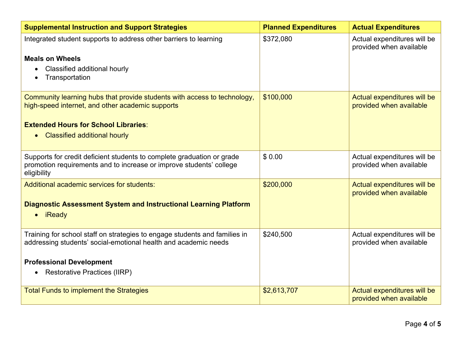| <b>Supplemental Instruction and Support Strategies</b>                                                                                        | <b>Planned Expenditures</b> | <b>Actual Expenditures</b>                             |
|-----------------------------------------------------------------------------------------------------------------------------------------------|-----------------------------|--------------------------------------------------------|
| Integrated student supports to address other barriers to learning                                                                             | \$372,080                   | Actual expenditures will be<br>provided when available |
| <b>Meals on Wheels</b>                                                                                                                        |                             |                                                        |
| Classified additional hourly<br>Transportation                                                                                                |                             |                                                        |
| Community learning hubs that provide students with access to technology,<br>high-speed internet, and other academic supports                  | \$100,000                   | Actual expenditures will be<br>provided when available |
| <b>Extended Hours for School Libraries:</b>                                                                                                   |                             |                                                        |
| • Classified additional hourly                                                                                                                |                             |                                                        |
| Supports for credit deficient students to complete graduation or grade<br>promotion requirements and to increase or improve students' college | \$0.00                      | Actual expenditures will be<br>provided when available |
| eligibility                                                                                                                                   |                             |                                                        |
| Additional academic services for students:                                                                                                    | \$200,000                   | Actual expenditures will be<br>provided when available |
| <b>Diagnostic Assessment System and Instructional Learning Platform</b><br>• iReady                                                           |                             |                                                        |
| Training for school staff on strategies to engage students and families in<br>addressing students' social-emotional health and academic needs | \$240,500                   | Actual expenditures will be<br>provided when available |
| <b>Professional Development</b>                                                                                                               |                             |                                                        |
| <b>Restorative Practices (IIRP)</b>                                                                                                           |                             |                                                        |
| <b>Total Funds to implement the Strategies</b>                                                                                                | \$2,613,707                 | Actual expenditures will be<br>provided when available |